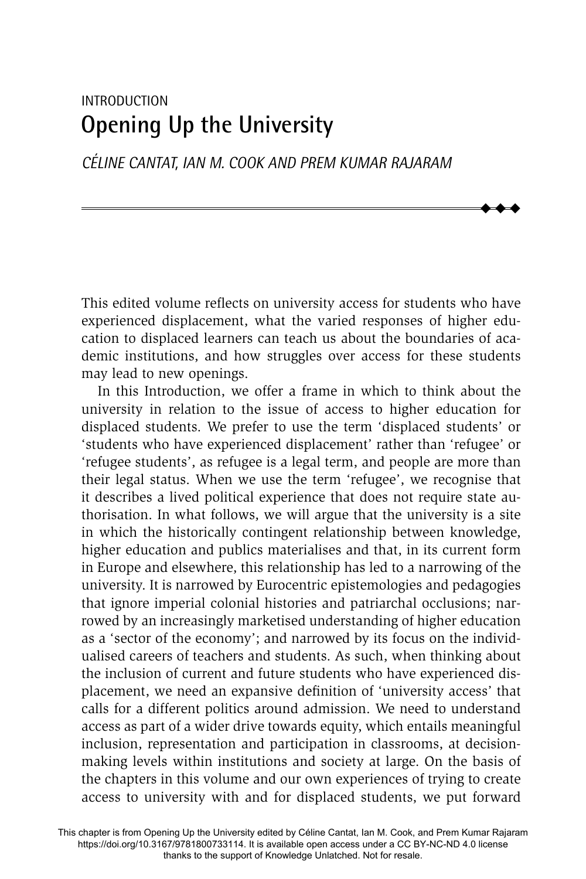# INTRODUCTION **Opening Up the University**

*CÉLINE CANTAT, IAN M. COOK AND PREM KUMAR RAJARAM* 

This edited volume reflects on university access for students who have experienced displacement, what the varied responses of higher education to displaced learners can teach us about the boundaries of academic institutions, and how struggles over access for these students may lead to new openings.

 $\blacklozenge$  $\blacklozenge$  $\blacklozenge$ 

In this Introduction, we offer a frame in which to think about the university in relation to the issue of access to higher education for displaced students. We prefer to use the term 'displaced students' or 'students who have experienced displacement' rather than 'refugee' or 'refugee students', as refugee is a legal term, and people are more than their legal status. When we use the term 'refugee', we recognise that it describes a lived political experience that does not require state authorisation. In what follows, we will argue that the university is a site in which the historically contingent relationship between knowledge, higher education and publics materialises and that, in its current form in Europe and elsewhere, this relationship has led to a narrowing of the university. It is narrowed by Eurocentric epistemologies and pedagogies that ignore imperial colonial histories and patriarchal occlusions; narrowed by an increasingly marketised understanding of higher education as a 'sector of the economy'; and narrowed by its focus on the individualised careers of teachers and students. As such, when thinking about the inclusion of current and future students who have experienced displacement, we need an expansive definition of 'university access' that calls for a different politics around admission. We need to understand access as part of a wider drive towards equity, which entails meaningful inclusion, representation and participation in classrooms, at decisionmaking levels within institutions and society at large. On the basis of the chapters in this volume and our own experiences of trying to create access to university with and for displaced students, we put forward

This chapter is from Opening Up the University edited by Céline Cantat, Ian M. Cook, and Prem Kumar Rajaram https://doi.org/10.3167/9781800733114. It is available open access under a CC BY-NC-ND 4.0 license thanks to the support of Knowledge Unlatched. Not for resale.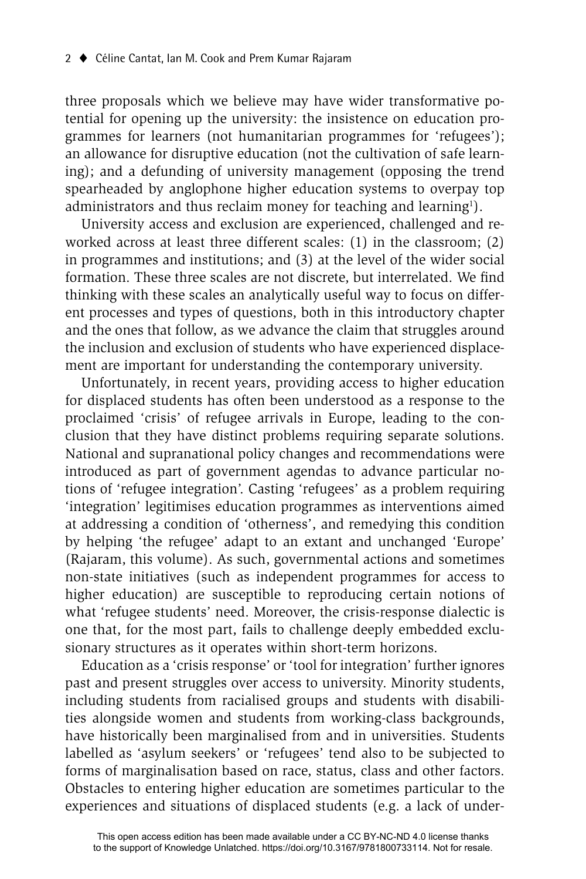three proposals which we believe may have wider transformative potential for opening up the university: the insistence on education programmes for learners (not humanitarian programmes for 'refugees'); an allowance for disruptive education (not the cultivation of safe learning); and a defunding of university management (opposing the trend spearheaded by anglophone higher education systems to overpay top administrators and thus reclaim money for teaching and learning<sup>1</sup>).

University access and exclusion are experienced, challenged and reworked across at least three different scales: (1) in the classroom; (2) in programmes and institutions; and (3) at the level of the wider social formation. These three scales are not discrete, but interrelated. We find thinking with these scales an analytically useful way to focus on different processes and types of questions, both in this introductory chapter and the ones that follow, as we advance the claim that struggles around the inclusion and exclusion of students who have experienced displacement are important for understanding the contemporary university.

Unfortunately, in recent years, providing access to higher education for displaced students has often been understood as a response to the proclaimed 'crisis' of refugee arrivals in Europe, leading to the conclusion that they have distinct problems requiring separate solutions. National and supranational policy changes and recommendations were introduced as part of government agendas to advance particular notions of 'refugee integration'. Casting 'refugees' as a problem requiring 'integration' legitimises education programmes as interventions aimed at addressing a condition of 'otherness', and remedying this condition by helping 'the refugee' adapt to an extant and unchanged 'Europe' (Rajaram, this volume). As such, governmental actions and sometimes non-state initiatives (such as independent programmes for access to higher education) are susceptible to reproducing certain notions of what 'refugee students' need. Moreover, the crisis-response dialectic is one that, for the most part, fails to challenge deeply embedded exclusionary structures as it operates within short-term horizons.

Education as a 'crisis response' or 'tool for integration' further ignores past and present struggles over access to university. Minority students, including students from racialised groups and students with disabilities alongside women and students from working-class backgrounds, have historically been marginalised from and in universities. Students labelled as 'asylum seekers' or 'refugees' tend also to be subjected to forms of marginalisation based on race, status, class and other factors. Obstacles to entering higher education are sometimes particular to the experiences and situations of displaced students (e.g. a lack of under-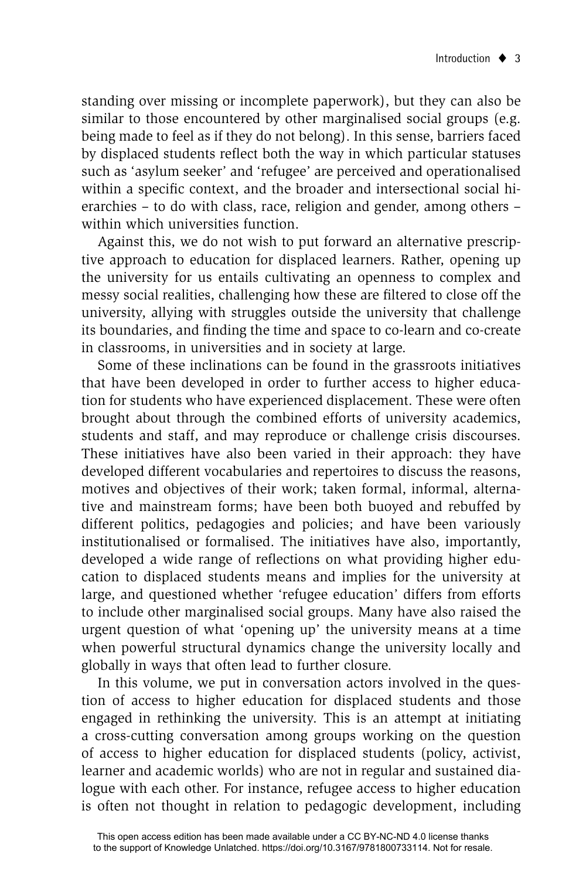standing over missing or incomplete paperwork), but they can also be similar to those encountered by other marginalised social groups (e.g. being made to feel as if they do not belong). In this sense, barriers faced by displaced students reflect both the way in which particular statuses such as 'asylum seeker' and 'refugee' are perceived and operationalised within a specific context, and the broader and intersectional social hierarchies – to do with class, race, religion and gender, among others – within which universities function.

Against this, we do not wish to put forward an alternative prescriptive approach to education for displaced learners. Rather, opening up the university for us entails cultivating an openness to complex and messy social realities, challenging how these are filtered to close off the university, allying with struggles outside the university that challenge its boundaries, and finding the time and space to co-learn and co-create in classrooms, in universities and in society at large.

Some of these inclinations can be found in the grassroots initiatives that have been developed in order to further access to higher education for students who have experienced displacement. These were often brought about through the combined efforts of university academics, students and staff, and may reproduce or challenge crisis discourses. These initiatives have also been varied in their approach: they have developed different vocabularies and repertoires to discuss the reasons, motives and objectives of their work; taken formal, informal, alternative and mainstream forms; have been both buoyed and rebuffed by different politics, pedagogies and policies; and have been variously institutionalised or formalised. The initiatives have also, importantly, developed a wide range of reflections on what providing higher education to displaced students means and implies for the university at large, and questioned whether 'refugee education' differs from efforts to include other marginalised social groups. Many have also raised the urgent question of what 'opening up' the university means at a time when powerful structural dynamics change the university locally and globally in ways that often lead to further closure.

In this volume, we put in conversation actors involved in the question of access to higher education for displaced students and those engaged in rethinking the university. This is an attempt at initiating a cross-cutting conversation among groups working on the question of access to higher education for displaced students (policy, activist, learner and academic worlds) who are not in regular and sustained dialogue with each other. For instance, refugee access to higher education is often not thought in relation to pedagogic development, including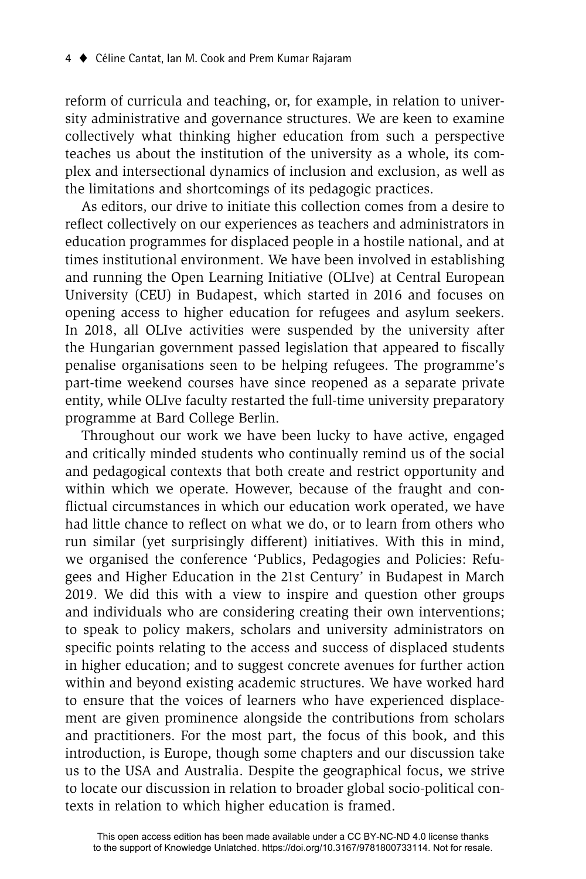reform of curricula and teaching, or, for example, in relation to university administrative and governance structures. We are keen to examine collectively what thinking higher education from such a perspective teaches us about the institution of the university as a whole, its complex and intersectional dynamics of inclusion and exclusion, as well as the limitations and shortcomings of its pedagogic practices.

As editors, our drive to initiate this collection comes from a desire to reflect collectively on our experiences as teachers and administrators in education programmes for displaced people in a hostile national, and at times institutional environment. We have been involved in establishing and running the Open Learning Initiative (OLIve) at Central European University (CEU) in Budapest, which started in 2016 and focuses on opening access to higher education for refugees and asylum seekers. In 2018, all OLIve activities were suspended by the university after the Hungarian government passed legislation that appeared to fiscally penalise organisations seen to be helping refugees. The programme's part-time weekend courses have since reopened as a separate private entity, while OLIve faculty restarted the full-time university preparatory programme at Bard College Berlin.

Throughout our work we have been lucky to have active, engaged and critically minded students who continually remind us of the social and pedagogical contexts that both create and restrict opportunity and within which we operate. However, because of the fraught and conflictual circumstances in which our education work operated, we have had little chance to reflect on what we do, or to learn from others who run similar (yet surprisingly different) initiatives. With this in mind, we organised the conference 'Publics, Pedagogies and Policies: Refugees and Higher Education in the 21st Century' in Budapest in March 2019. We did this with a view to inspire and question other groups and individuals who are considering creating their own interventions; to speak to policy makers, scholars and university administrators on specific points relating to the access and success of displaced students in higher education; and to suggest concrete avenues for further action within and beyond existing academic structures. We have worked hard to ensure that the voices of learners who have experienced displacement are given prominence alongside the contributions from scholars and practitioners. For the most part, the focus of this book, and this introduction, is Europe, though some chapters and our discussion take us to the USA and Australia. Despite the geographical focus, we strive to locate our discussion in relation to broader global socio-political contexts in relation to which higher education is framed.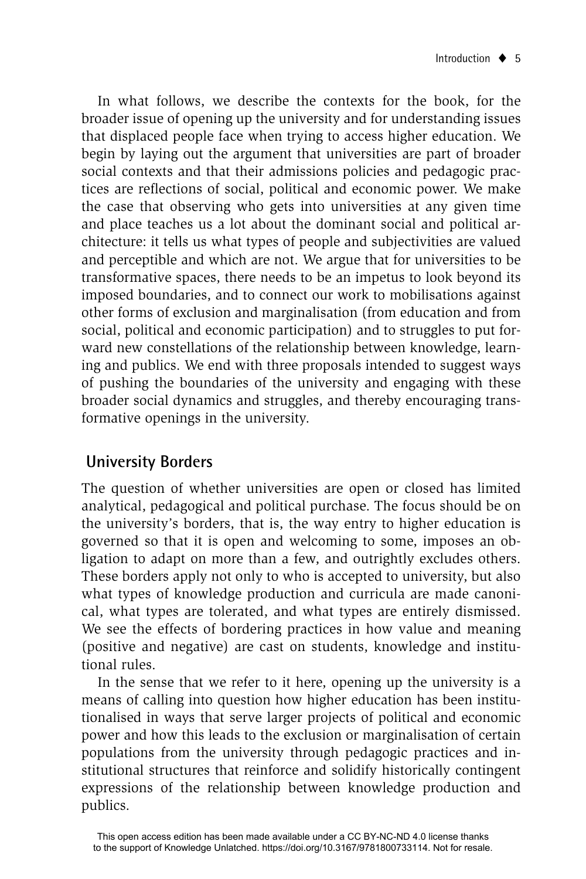In what follows, we describe the contexts for the book, for the broader issue of opening up the university and for understanding issues that displaced people face when trying to access higher education. We begin by laying out the argument that universities are part of broader social contexts and that their admissions policies and pedagogic practices are reflections of social, political and economic power. We make the case that observing who gets into universities at any given time and place teaches us a lot about the dominant social and political architecture: it tells us what types of people and subjectivities are valued and perceptible and which are not. We argue that for universities to be transformative spaces, there needs to be an impetus to look beyond its imposed boundaries, and to connect our work to mobilisations against other forms of exclusion and marginalisation (from education and from social, political and economic participation) and to struggles to put forward new constellations of the relationship between knowledge, learning and publics. We end with three proposals intended to suggest ways of pushing the boundaries of the university and engaging with these broader social dynamics and struggles, and thereby encouraging transformative openings in the university.

# **University Borders**

The question of whether universities are open or closed has limited analytical, pedagogical and political purchase. The focus should be on the university's borders, that is, the way entry to higher education is governed so that it is open and welcoming to some, imposes an obligation to adapt on more than a few, and outrightly excludes others. These borders apply not only to who is accepted to university, but also what types of knowledge production and curricula are made canonical, what types are tolerated, and what types are entirely dismissed. We see the effects of bordering practices in how value and meaning (positive and negative) are cast on students, knowledge and institutional rules.

In the sense that we refer to it here, opening up the university is a means of calling into question how higher education has been institutionalised in ways that serve larger projects of political and economic power and how this leads to the exclusion or marginalisation of certain populations from the university through pedagogic practices and institutional structures that reinforce and solidify historically contingent expressions of the relationship between knowledge production and publics.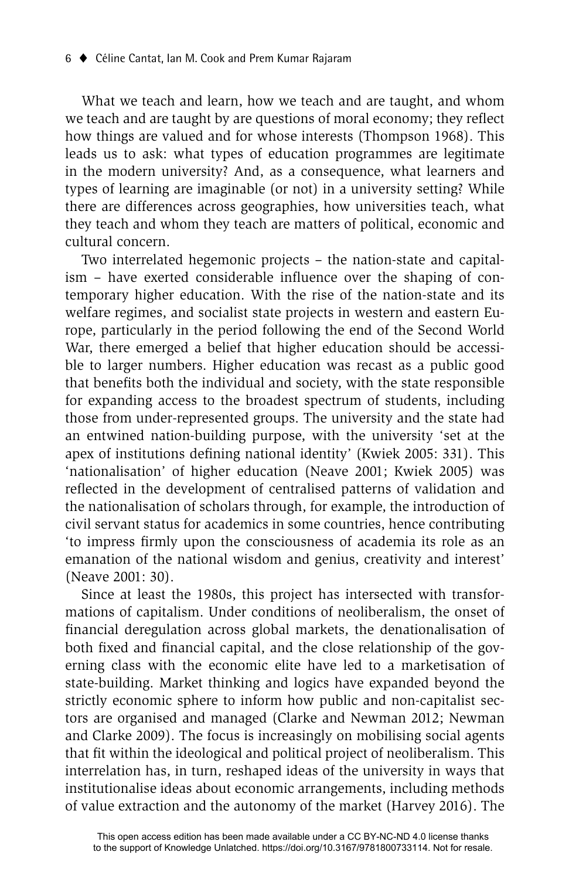What we teach and learn, how we teach and are taught, and whom we teach and are taught by are questions of moral economy; they reflect how things are valued and for whose interests (Thompson 1968). This leads us to ask: what types of education programmes are legitimate in the modern university? And, as a consequence, what learners and types of learning are imaginable (or not) in a university setting? While there are differences across geographies, how universities teach, what they teach and whom they teach are matters of political, economic and cultural concern.

Two interrelated hegemonic projects – the nation-state and capitalism – have exerted considerable influence over the shaping of contemporary higher education. With the rise of the nation-state and its welfare regimes, and socialist state projects in western and eastern Europe, particularly in the period following the end of the Second World War, there emerged a belief that higher education should be accessible to larger numbers. Higher education was recast as a public good that benefits both the individual and society, with the state responsible for expanding access to the broadest spectrum of students, including those from under-represented groups. The university and the state had an entwined nation-building purpose, with the university 'set at the apex of institutions defining national identity' (Kwiek 2005: 331). This 'nationalisation' of higher education (Neave 2001; Kwiek 2005) was reflected in the development of centralised patterns of validation and the nationalisation of scholars through, for example, the introduction of civil servant status for academics in some countries, hence contributing 'to impress firmly upon the consciousness of academia its role as an emanation of the national wisdom and genius, creativity and interest' (Neave 2001: 30).

Since at least the 1980s, this project has intersected with transformations of capitalism. Under conditions of neoliberalism, the onset of financial deregulation across global markets, the denationalisation of both fixed and financial capital, and the close relationship of the governing class with the economic elite have led to a marketisation of state-building. Market thinking and logics have expanded beyond the strictly economic sphere to inform how public and non-capitalist sectors are organised and managed (Clarke and Newman 2012; Newman and Clarke 2009). The focus is increasingly on mobilising social agents that fit within the ideological and political project of neoliberalism. This interrelation has, in turn, reshaped ideas of the university in ways that institutionalise ideas about economic arrangements, including methods of value extraction and the autonomy of the market (Harvey 2016). The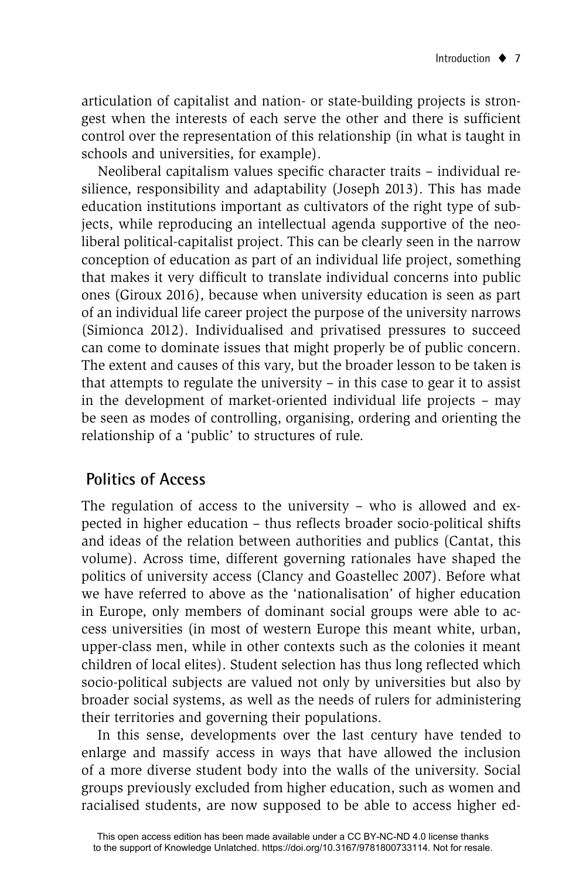articulation of capitalist and nation- or state-building projects is strongest when the interests of each serve the other and there is sufficient control over the representation of this relationship (in what is taught in schools and universities, for example).

Neoliberal capitalism values specific character traits - individual resilience, responsibility and adaptability (Joseph 2013). This has made education institutions important as cultivators of the right type of subjects, while reproducing an intellectual agenda supportive of the neoliberal political-capitalist project. This can be clearly seen in the narrow conception of education as part of an individual life project, something that makes it very difficult to translate individual concerns into public ones (Giroux 2016), because when university education is seen as part of an individual life career project the purpose of the university narrows (Simionca 2012). Individualised and privatised pressures to succeed can come to dominate issues that might properly be of public concern. The extent and causes of this vary, but the broader lesson to be taken is that attempts to regulate the university – in this case to gear it to assist in the development of market-oriented individual life projects – may be seen as modes of controlling, organising, ordering and orienting the relationship of a 'public' to structures of rule.

# **Politics of Access**

The regulation of access to the university – who is allowed and expected in higher education – thus reflects broader socio-political shifts and ideas of the relation between authorities and publics (Cantat, this volume). Across time, different governing rationales have shaped the politics of university access (Clancy and Goastellec 2007). Before what we have referred to above as the 'nationalisation' of higher education in Europe, only members of dominant social groups were able to access universities (in most of western Europe this meant white, urban, upper-class men, while in other contexts such as the colonies it meant children of local elites). Student selection has thus long reflected which socio-political subjects are valued not only by universities but also by broader social systems, as well as the needs of rulers for administering their territories and governing their populations.

In this sense, developments over the last century have tended to enlarge and massify access in ways that have allowed the inclusion of a more diverse student body into the walls of the university. Social groups previously excluded from higher education, such as women and racialised students, are now supposed to be able to access higher ed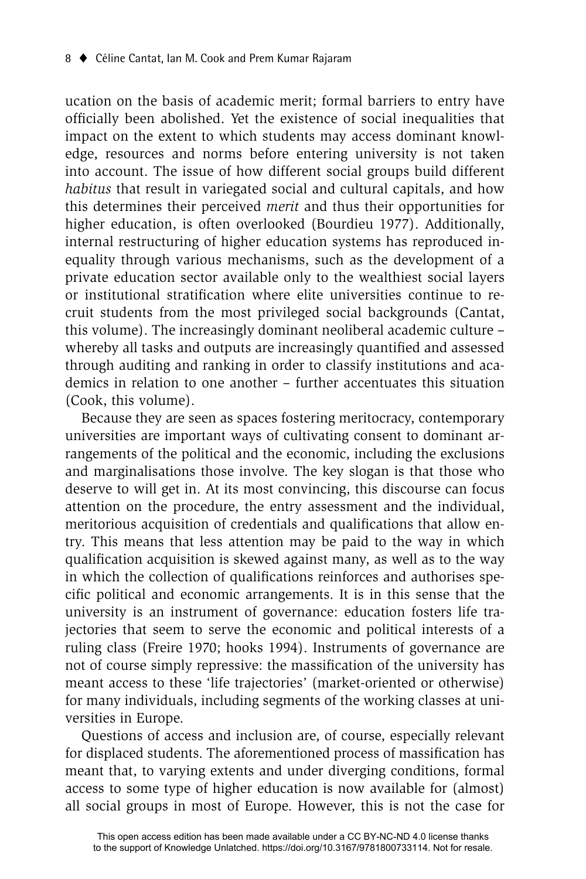ucation on the basis of academic merit; formal barriers to entry have officially been abolished. Yet the existence of social inequalities that impact on the extent to which students may access dominant knowledge, resources and norms before entering university is not taken into account. The issue of how different social groups build different *habitus* that result in variegated social and cultural capitals, and how this determines their perceived *merit* and thus their opportunities for higher education, is often overlooked (Bourdieu 1977). Additionally, internal restructuring of higher education systems has reproduced inequality through various mechanisms, such as the development of a private education sector available only to the wealthiest social layers or institutional stratification where elite universities continue to recruit students from the most privileged social backgrounds (Cantat, this volume). The increasingly dominant neoliberal academic culture – whereby all tasks and outputs are increasingly quantified and assessed through auditing and ranking in order to classify institutions and academics in relation to one another – further accentuates this situation (Cook, this volume).

Because they are seen as spaces fostering meritocracy, contemporary universities are important ways of cultivating consent to dominant arrangements of the political and the economic, including the exclusions and marginalisations those involve. The key slogan is that those who deserve to will get in. At its most convincing, this discourse can focus attention on the procedure, the entry assessment and the individual, meritorious acquisition of credentials and qualifications that allow entry. This means that less attention may be paid to the way in which qualification acquisition is skewed against many, as well as to the way in which the collection of qualifications reinforces and authorises specific political and economic arrangements. It is in this sense that the university is an instrument of governance: education fosters life trajectories that seem to serve the economic and political interests of a ruling class (Freire 1970; hooks 1994). Instruments of governance are not of course simply repressive: the massification of the university has meant access to these 'life trajectories' (market-oriented or otherwise) for many individuals, including segments of the working classes at universities in Europe.

Questions of access and inclusion are, of course, especially relevant for displaced students. The aforementioned process of massification has meant that, to varying extents and under diverging conditions, formal access to some type of higher education is now available for (almost) all social groups in most of Europe. However, this is not the case for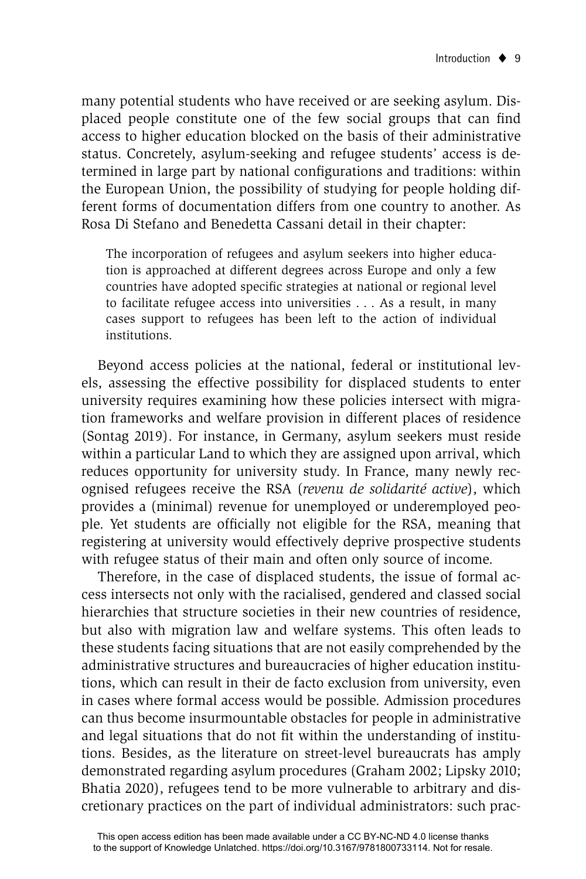many potential students who have received or are seeking asylum. Displaced people constitute one of the few social groups that can find access to higher education blocked on the basis of their administrative status. Concretely, asylum-seeking and refugee students' access is determined in large part by national configurations and traditions: within the European Union, the possibility of studying for people holding different forms of documentation differs from one country to another. As Rosa Di Stefano and Benedetta Cassani detail in their chapter:

The incorporation of refugees and asylum seekers into higher education is approached at different degrees across Europe and only a few countries have adopted specific strategies at national or regional level to facilitate refugee access into universities . . . As a result, in many cases support to refugees has been left to the action of individual institutions.

Beyond access policies at the national, federal or institutional levels, assessing the effective possibility for displaced students to enter university requires examining how these policies intersect with migration frameworks and welfare provision in different places of residence (Sontag 2019). For instance, in Germany, asylum seekers must reside within a particular Land to which they are assigned upon arrival, which reduces opportunity for university study. In France, many newly recognised refugees receive the RSA (*revenu de solidarité active*), which provides a (minimal) revenue for unemployed or underemployed people. Yet students are officially not eligible for the RSA, meaning that registering at university would effectively deprive prospective students with refugee status of their main and often only source of income.

Therefore, in the case of displaced students, the issue of formal access intersects not only with the racialised, gendered and classed social hierarchies that structure societies in their new countries of residence, but also with migration law and welfare systems. This often leads to these students facing situations that are not easily comprehended by the administrative structures and bureaucracies of higher education institutions, which can result in their de facto exclusion from university, even in cases where formal access would be possible. Admission procedures can thus become insurmountable obstacles for people in administrative and legal situations that do not fit within the understanding of institutions. Besides, as the literature on street-level bureaucrats has amply demonstrated regarding asylum procedures (Graham 2002; Lipsky 2010; Bhatia 2020), refugees tend to be more vulnerable to arbitrary and discretionary practices on the part of individual administrators: such prac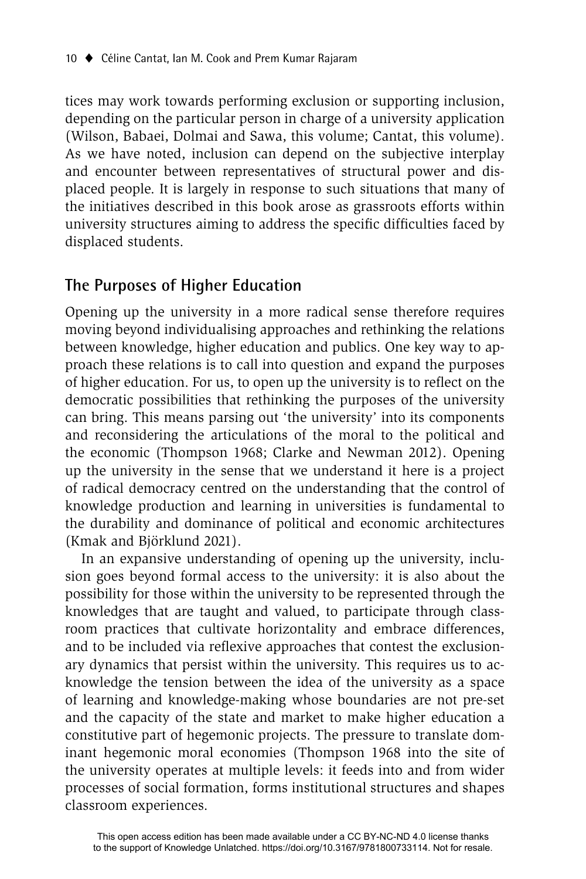tices may work towards performing exclusion or supporting inclusion, depending on the particular person in charge of a university application (Wilson, Babaei, Dolmai and Sawa, this volume; Cantat, this volume). As we have noted, inclusion can depend on the subjective interplay and encounter between representatives of structural power and displaced people. It is largely in response to such situations that many of the initiatives described in this book arose as grassroots efforts within university structures aiming to address the specific difficulties faced by displaced students.

#### **The Purposes of Higher Education**

Opening up the university in a more radical sense therefore requires moving beyond individualising approaches and rethinking the relations between knowledge, higher education and publics. One key way to approach these relations is to call into question and expand the purposes of higher education. For us, to open up the university is to reflect on the democratic possibilities that rethinking the purposes of the university can bring. This means parsing out 'the university' into its components and reconsidering the articulations of the moral to the political and the economic (Thompson 1968; Clarke and Newman 2012). Opening up the university in the sense that we understand it here is a project of radical democracy centred on the understanding that the control of knowledge production and learning in universities is fundamental to the durability and dominance of political and economic architectures (Kmak and Björklund 2021).

In an expansive understanding of opening up the university, inclusion goes beyond formal access to the university: it is also about the possibility for those within the university to be represented through the knowledges that are taught and valued, to participate through classroom practices that cultivate horizontality and embrace differences, and to be included via reflexive approaches that contest the exclusionary dynamics that persist within the university. This requires us to acknowledge the tension between the idea of the university as a space of learning and knowledge-making whose boundaries are not pre-set and the capacity of the state and market to make higher education a constitutive part of hegemonic projects. The pressure to translate dominant hegemonic moral economies (Thompson 1968 into the site of the university operates at multiple levels: it feeds into and from wider processes of social formation, forms institutional structures and shapes classroom experiences.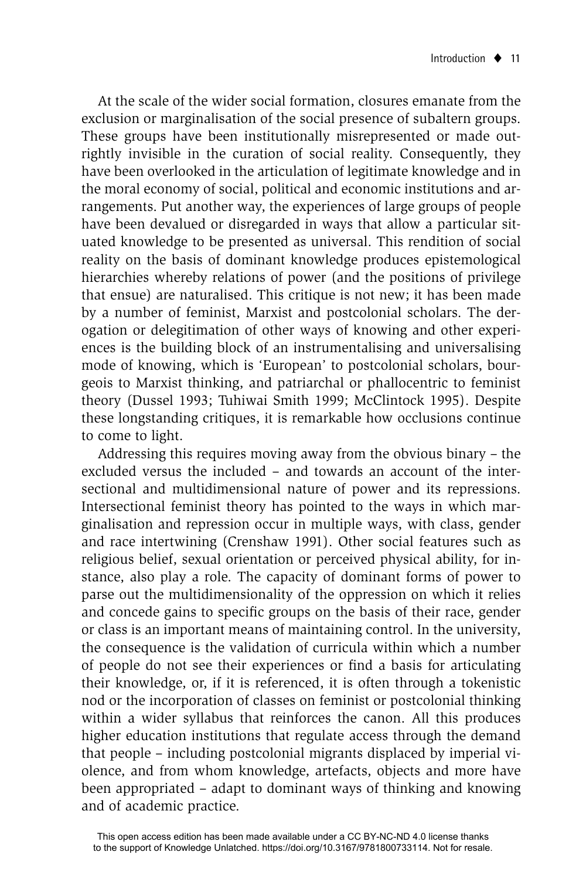At the scale of the wider social formation, closures emanate from the exclusion or marginalisation of the social presence of subaltern groups. These groups have been institutionally misrepresented or made outrightly invisible in the curation of social reality. Consequently, they have been overlooked in the articulation of legitimate knowledge and in the moral economy of social, political and economic institutions and arrangements. Put another way, the experiences of large groups of people have been devalued or disregarded in ways that allow a particular situated knowledge to be presented as universal. This rendition of social reality on the basis of dominant knowledge produces epistemological hierarchies whereby relations of power (and the positions of privilege that ensue) are naturalised. This critique is not new; it has been made by a number of feminist, Marxist and postcolonial scholars. The derogation or delegitimation of other ways of knowing and other experiences is the building block of an instrumentalising and universalising mode of knowing, which is 'European' to postcolonial scholars, bourgeois to Marxist thinking, and patriarchal or phallocentric to feminist theory (Dussel 1993; Tuhiwai Smith 1999; McClintock 1995). Despite these longstanding critiques, it is remarkable how occlusions continue to come to light.

Addressing this requires moving away from the obvious binary – the excluded versus the included – and towards an account of the intersectional and multidimensional nature of power and its repressions. Intersectional feminist theory has pointed to the ways in which marginalisation and repression occur in multiple ways, with class, gender and race intertwining (Crenshaw 1991). Other social features such as religious belief, sexual orientation or perceived physical ability, for instance, also play a role. The capacity of dominant forms of power to parse out the multidimensionality of the oppression on which it relies and concede gains to specific groups on the basis of their race, gender or class is an important means of maintaining control. In the university, the consequence is the validation of curricula within which a number of people do not see their experiences or find a basis for articulating their knowledge, or, if it is referenced, it is often through a tokenistic nod or the incorporation of classes on feminist or postcolonial thinking within a wider syllabus that reinforces the canon. All this produces higher education institutions that regulate access through the demand that people – including postcolonial migrants displaced by imperial violence, and from whom knowledge, artefacts, objects and more have been appropriated – adapt to dominant ways of thinking and knowing and of academic practice.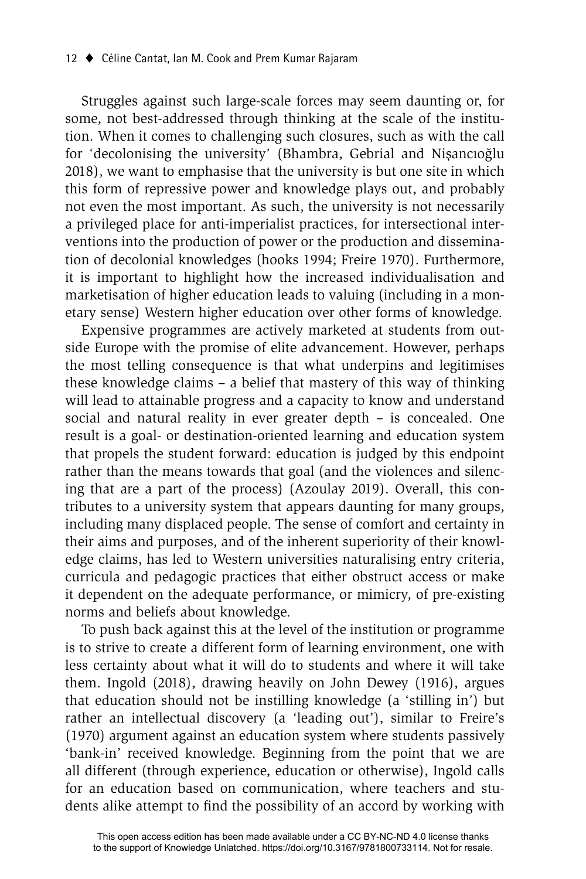Struggles against such large-scale forces may seem daunting or, for some, not best-addressed through thinking at the scale of the institution. When it comes to challenging such closures, such as with the call for 'decolonising the university' (Bhambra, Gebrial and Nișancıoğlu 2018), we want to emphasise that the university is but one site in which this form of repressive power and knowledge plays out, and probably not even the most important. As such, the university is not necessarily a privileged place for anti-imperialist practices, for intersectional interventions into the production of power or the production and dissemination of decolonial knowledges (hooks 1994; Freire 1970). Furthermore, it is important to highlight how the increased individualisation and marketisation of higher education leads to valuing (including in a monetary sense) Western higher education over other forms of knowledge.

Expensive programmes are actively marketed at students from outside Europe with the promise of elite advancement. However, perhaps the most telling consequence is that what underpins and legitimises these knowledge claims – a belief that mastery of this way of thinking will lead to attainable progress and a capacity to know and understand social and natural reality in ever greater depth – is concealed. One result is a goal- or destination-oriented learning and education system that propels the student forward: education is judged by this endpoint rather than the means towards that goal (and the violences and silencing that are a part of the process) (Azoulay 2019). Overall, this contributes to a university system that appears daunting for many groups, including many displaced people. The sense of comfort and certainty in their aims and purposes, and of the inherent superiority of their knowledge claims, has led to Western universities naturalising entry criteria, curricula and pedagogic practices that either obstruct access or make it dependent on the adequate performance, or mimicry, of pre-existing norms and beliefs about knowledge.

To push back against this at the level of the institution or programme is to strive to create a different form of learning environment, one with less certainty about what it will do to students and where it will take them. Ingold (2018), drawing heavily on John Dewey (1916), argues that education should not be instilling knowledge (a 'stilling in') but rather an intellectual discovery (a 'leading out'), similar to Freire's (1970) argument against an education system where students passively 'bank-in' received knowledge. Beginning from the point that we are all different (through experience, education or otherwise), Ingold calls for an education based on communication, where teachers and students alike attempt to find the possibility of an accord by working with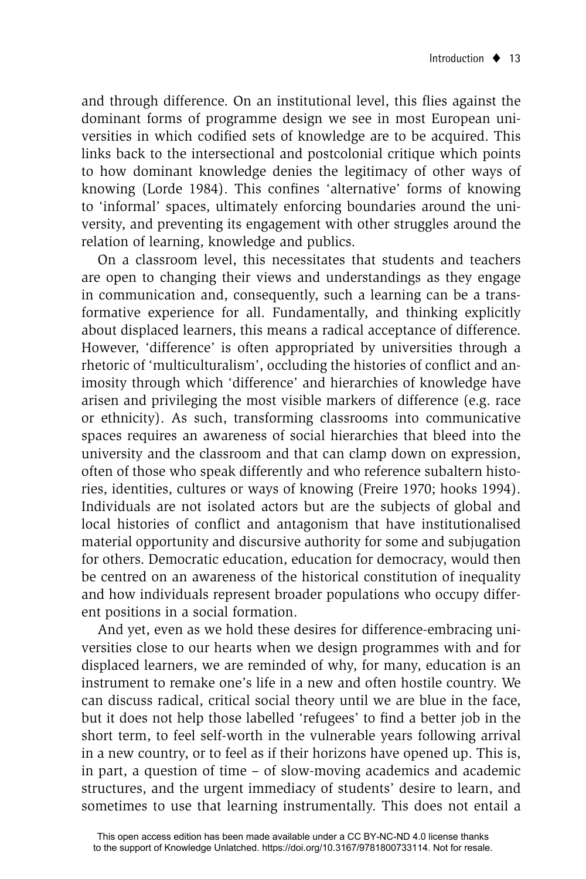and through difference. On an institutional level, this flies against the dominant forms of programme design we see in most European universities in which codified sets of knowledge are to be acquired. This links back to the intersectional and postcolonial critique which points to how dominant knowledge denies the legitimacy of other ways of knowing (Lorde 1984). This confines 'alternative' forms of knowing to 'informal' spaces, ultimately enforcing boundaries around the university, and preventing its engagement with other struggles around the relation of learning, knowledge and publics.

On a classroom level, this necessitates that students and teachers are open to changing their views and understandings as they engage in communication and, consequently, such a learning can be a transformative experience for all. Fundamentally, and thinking explicitly about displaced learners, this means a radical acceptance of difference. However, 'difference' is often appropriated by universities through a rhetoric of 'multiculturalism', occluding the histories of conflict and animosity through which 'difference' and hierarchies of knowledge have arisen and privileging the most visible markers of difference (e.g. race or ethnicity). As such, transforming classrooms into communicative spaces requires an awareness of social hierarchies that bleed into the university and the classroom and that can clamp down on expression, often of those who speak differently and who reference subaltern histories, identities, cultures or ways of knowing (Freire 1970; hooks 1994). Individuals are not isolated actors but are the subjects of global and local histories of conflict and antagonism that have institutionalised material opportunity and discursive authority for some and subjugation for others. Democratic education, education for democracy, would then be centred on an awareness of the historical constitution of inequality and how individuals represent broader populations who occupy different positions in a social formation.

And yet, even as we hold these desires for difference-embracing universities close to our hearts when we design programmes with and for displaced learners, we are reminded of why, for many, education is an instrument to remake one's life in a new and often hostile country. We can discuss radical, critical social theory until we are blue in the face, but it does not help those labelled 'refugees' to find a better job in the short term, to feel self-worth in the vulnerable years following arrival in a new country, or to feel as if their horizons have opened up. This is, in part, a question of time – of slow-moving academics and academic structures, and the urgent immediacy of students' desire to learn, and sometimes to use that learning instrumentally. This does not entail a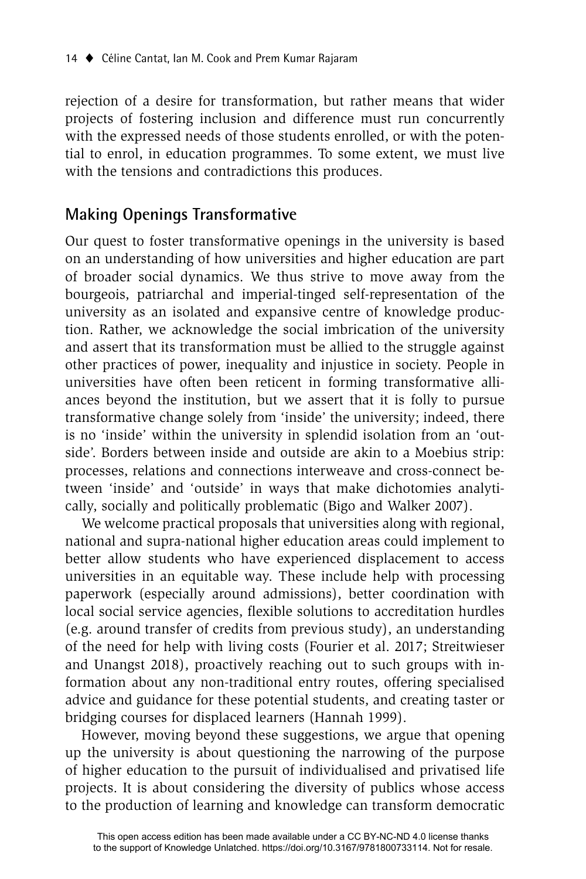rejection of a desire for transformation, but rather means that wider projects of fostering inclusion and difference must run concurrently with the expressed needs of those students enrolled, or with the potential to enrol, in education programmes. To some extent, we must live with the tensions and contradictions this produces.

### **Making Openings Transformative**

Our quest to foster transformative openings in the university is based on an understanding of how universities and higher education are part of broader social dynamics. We thus strive to move away from the bourgeois, patriarchal and imperial-tinged self-representation of the university as an isolated and expansive centre of knowledge production. Rather, we acknowledge the social imbrication of the university and assert that its transformation must be allied to the struggle against other practices of power, inequality and injustice in society. People in universities have often been reticent in forming transformative alliances beyond the institution, but we assert that it is folly to pursue transformative change solely from 'inside' the university; indeed, there is no 'inside' within the university in splendid isolation from an 'outside'. Borders between inside and outside are akin to a Moebius strip: processes, relations and connections interweave and cross-connect between 'inside' and 'outside' in ways that make dichotomies analytically, socially and politically problematic (Bigo and Walker 2007).

We welcome practical proposals that universities along with regional, national and supra-national higher education areas could implement to better allow students who have experienced displacement to access universities in an equitable way. These include help with processing paperwork (especially around admissions), better coordination with local social service agencies, flexible solutions to accreditation hurdles (e.g. around transfer of credits from previous study), an understanding of the need for help with living costs (Fourier et al. 2017; Streitwieser and Unangst 2018), proactively reaching out to such groups with information about any non-traditional entry routes, offering specialised advice and guidance for these potential students, and creating taster or bridging courses for displaced learners (Hannah 1999).

However, moving beyond these suggestions, we argue that opening up the university is about questioning the narrowing of the purpose of higher education to the pursuit of individualised and privatised life projects. It is about considering the diversity of publics whose access to the production of learning and knowledge can transform democratic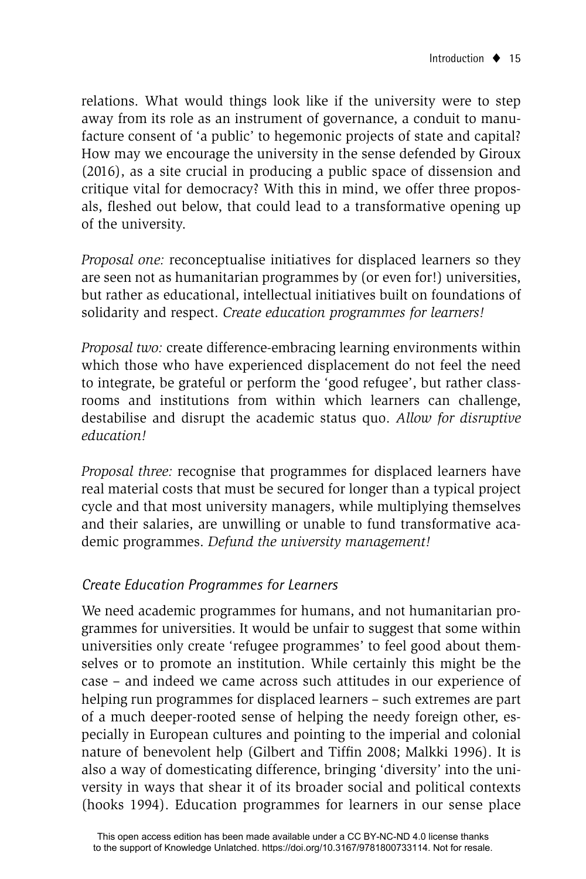relations. What would things look like if the university were to step away from its role as an instrument of governance, a conduit to manufacture consent of 'a public' to hegemonic projects of state and capital? How may we encourage the university in the sense defended by Giroux (2016), as a site crucial in producing a public space of dissension and critique vital for democracy? With this in mind, we offer three proposals, fleshed out below, that could lead to a transformative opening up of the university.

*Proposal one:* reconceptualise initiatives for displaced learners so they are seen not as humanitarian programmes by (or even for!) universities, but rather as educational, intellectual initiatives built on foundations of solidarity and respect. *Create education programmes for learners!*

*Proposal two:* create difference-embracing learning environments within which those who have experienced displacement do not feel the need to integrate, be grateful or perform the 'good refugee', but rather classrooms and institutions from within which learners can challenge, destabilise and disrupt the academic status quo. *Allow for disruptive education!* 

*Proposal three:* recognise that programmes for displaced learners have real material costs that must be secured for longer than a typical project cycle and that most university managers, while multiplying themselves and their salaries, are unwilling or unable to fund transformative academic programmes. *Defund the university management!*

#### *Create Education Programmes for Learners*

We need academic programmes for humans, and not humanitarian programmes for universities. It would be unfair to suggest that some within universities only create 'refugee programmes' to feel good about themselves or to promote an institution. While certainly this might be the case – and indeed we came across such attitudes in our experience of helping run programmes for displaced learners – such extremes are part of a much deeper-rooted sense of helping the needy foreign other, especially in European cultures and pointing to the imperial and colonial nature of benevolent help (Gilbert and Tiffin 2008; Malkki 1996). It is also a way of domesticating difference, bringing 'diversity' into the university in ways that shear it of its broader social and political contexts (hooks 1994). Education programmes for learners in our sense place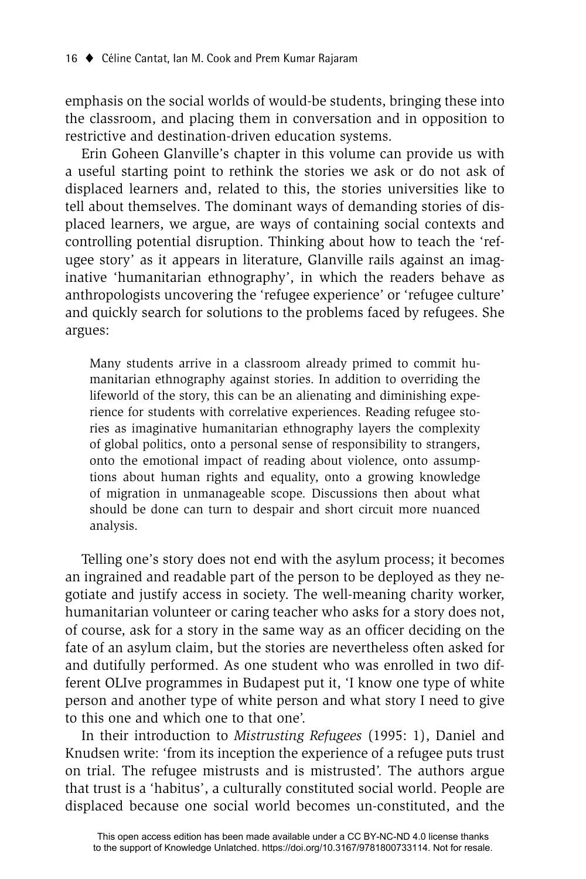emphasis on the social worlds of would-be students, bringing these into the classroom, and placing them in conversation and in opposition to restrictive and destination-driven education systems.

Erin Goheen Glanville's chapter in this volume can provide us with a useful starting point to rethink the stories we ask or do not ask of displaced learners and, related to this, the stories universities like to tell about themselves. The dominant ways of demanding stories of displaced learners, we argue, are ways of containing social contexts and controlling potential disruption. Thinking about how to teach the 'refugee story' as it appears in literature, Glanville rails against an imaginative 'humanitarian ethnography', in which the readers behave as anthropologists uncovering the 'refugee experience' or 'refugee culture' and quickly search for solutions to the problems faced by refugees. She argues:

Many students arrive in a classroom already primed to commit humanitarian ethnography against stories. In addition to overriding the lifeworld of the story, this can be an alienating and diminishing experience for students with correlative experiences. Reading refugee stories as imaginative humanitarian ethnography layers the complexity of global politics, onto a personal sense of responsibility to strangers, onto the emotional impact of reading about violence, onto assumptions about human rights and equality, onto a growing knowledge of migration in unmanageable scope. Discussions then about what should be done can turn to despair and short circuit more nuanced analysis.

Telling one's story does not end with the asylum process; it becomes an ingrained and readable part of the person to be deployed as they negotiate and justify access in society. The well-meaning charity worker, humanitarian volunteer or caring teacher who asks for a story does not, of course, ask for a story in the same way as an officer deciding on the fate of an asylum claim, but the stories are nevertheless often asked for and dutifully performed. As one student who was enrolled in two different OLIve programmes in Budapest put it, 'I know one type of white person and another type of white person and what story I need to give to this one and which one to that one'.

In their introduction to *Mistrusting Refugees* (1995: 1), Daniel and Knudsen write: 'from its inception the experience of a refugee puts trust on trial. The refugee mistrusts and is mistrusted'. The authors argue that trust is a 'habitus', a culturally constituted social world. People are displaced because one social world becomes un-constituted, and the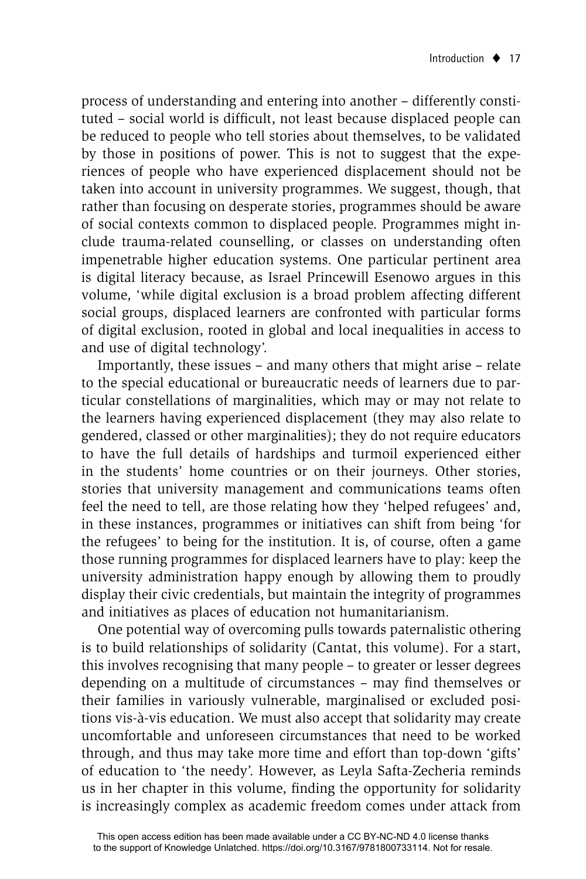process of understanding and entering into another – differently constituted - social world is difficult, not least because displaced people can be reduced to people who tell stories about themselves, to be validated by those in positions of power. This is not to suggest that the experiences of people who have experienced displacement should not be taken into account in university programmes. We suggest, though, that rather than focusing on desperate stories, programmes should be aware of social contexts common to displaced people. Programmes might include trauma-related counselling, or classes on understanding often impenetrable higher education systems. One particular pertinent area is digital literacy because, as Israel Princewill Esenowo argues in this volume, 'while digital exclusion is a broad problem affecting different social groups, displaced learners are confronted with particular forms of digital exclusion, rooted in global and local inequalities in access to and use of digital technology'.

Importantly, these issues – and many others that might arise – relate to the special educational or bureaucratic needs of learners due to particular constellations of marginalities, which may or may not relate to the learners having experienced displacement (they may also relate to gendered, classed or other marginalities); they do not require educators to have the full details of hardships and turmoil experienced either in the students' home countries or on their journeys. Other stories, stories that university management and communications teams often feel the need to tell, are those relating how they 'helped refugees' and, in these instances, programmes or initiatives can shift from being 'for the refugees' to being for the institution. It is, of course, often a game those running programmes for displaced learners have to play: keep the university administration happy enough by allowing them to proudly display their civic credentials, but maintain the integrity of programmes and initiatives as places of education not humanitarianism.

One potential way of overcoming pulls towards paternalistic othering is to build relationships of solidarity (Cantat, this volume). For a start, this involves recognising that many people – to greater or lesser degrees depending on a multitude of circumstances – may find themselves or their families in variously vulnerable, marginalised or excluded positions vis-à-vis education. We must also accept that solidarity may create uncomfortable and unforeseen circumstances that need to be worked through, and thus may take more time and effort than top-down 'gifts' of education to 'the needy'. However, as Leyla Safta-Zecheria reminds us in her chapter in this volume, finding the opportunity for solidarity is increasingly complex as academic freedom comes under attack from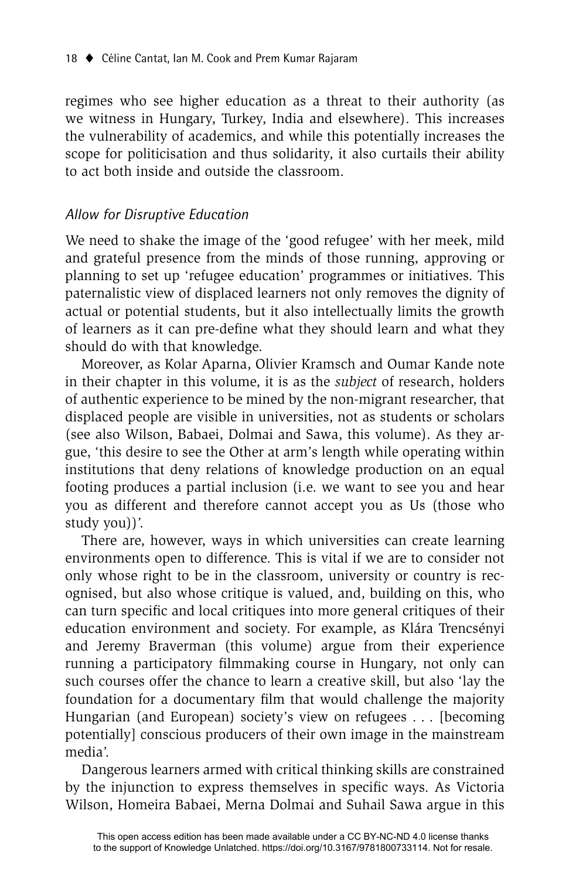regimes who see higher education as a threat to their authority (as we witness in Hungary, Turkey, India and elsewhere). This increases the vulnerability of academics, and while this potentially increases the scope for politicisation and thus solidarity, it also curtails their ability to act both inside and outside the classroom.

#### *Allow for Disruptive Education*

We need to shake the image of the 'good refugee' with her meek, mild and grateful presence from the minds of those running, approving or planning to set up 'refugee education' programmes or initiatives. This paternalistic view of displaced learners not only removes the dignity of actual or potential students, but it also intellectually limits the growth of learners as it can pre-define what they should learn and what they should do with that knowledge.

Moreover, as Kolar Aparna, Olivier Kramsch and Oumar Kande note in their chapter in this volume, it is as the *subject* of research, holders of authentic experience to be mined by the non-migrant researcher, that displaced people are visible in universities, not as students or scholars (see also Wilson, Babaei, Dolmai and Sawa, this volume). As they argue, 'this desire to see the Other at arm's length while operating within institutions that deny relations of knowledge production on an equal footing produces a partial inclusion (i.e. we want to see you and hear you as different and therefore cannot accept you as Us (those who study you))'.

There are, however, ways in which universities can create learning environments open to difference. This is vital if we are to consider not only whose right to be in the classroom, university or country is recognised, but also whose critique is valued, and, building on this, who can turn specific and local critiques into more general critiques of their education environment and society. For example, as Klára Trencsényi and Jeremy Braverman (this volume) argue from their experience running a participatory filmmaking course in Hungary, not only can such courses offer the chance to learn a creative skill, but also 'lay the foundation for a documentary film that would challenge the majority Hungarian (and European) society's view on refugees . . . [becoming potentially] conscious producers of their own image in the mainstream media'.

Dangerous learners armed with critical thinking skills are constrained by the injunction to express themselves in specific ways. As Victoria Wilson, Homeira Babaei, Merna Dolmai and Suhail Sawa argue in this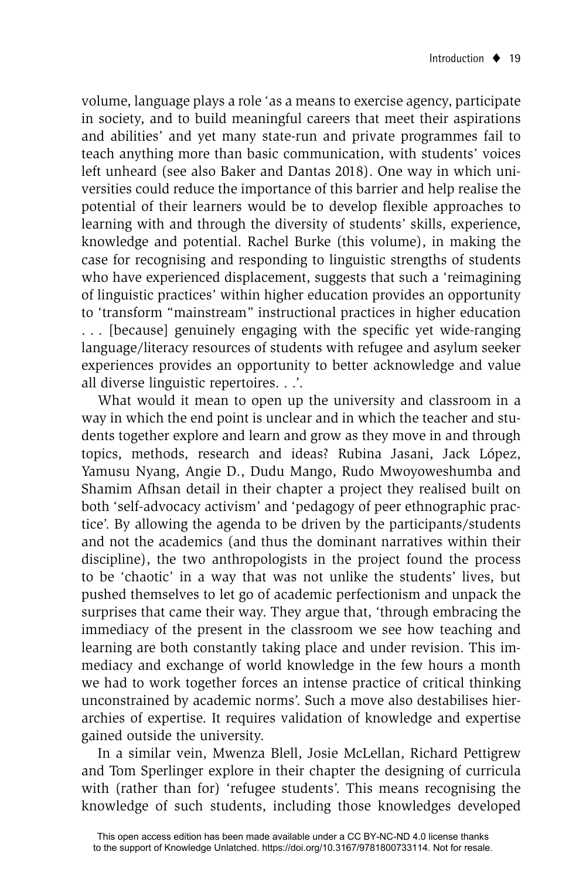volume, language plays a role 'as a means to exercise agency, participate in society, and to build meaningful careers that meet their aspirations and abilities' and yet many state-run and private programmes fail to teach anything more than basic communication, with students' voices left unheard (see also Baker and Dantas 2018). One way in which universities could reduce the importance of this barrier and help realise the potential of their learners would be to develop flexible approaches to learning with and through the diversity of students' skills, experience, knowledge and potential. Rachel Burke (this volume), in making the case for recognising and responding to linguistic strengths of students who have experienced displacement, suggests that such a 'reimagining of linguistic practices' within higher education provides an opportunity to 'transform "mainstream" instructional practices in higher education ... [because] genuinely engaging with the specific yet wide-ranging language/literacy resources of students with refugee and asylum seeker experiences provides an opportunity to better acknowledge and value all diverse linguistic repertoires. . .'.

What would it mean to open up the university and classroom in a way in which the end point is unclear and in which the teacher and students together explore and learn and grow as they move in and through topics, methods, research and ideas? Rubina Jasani, Jack López, Yamusu Nyang, Angie D., Dudu Mango, Rudo Mwoyoweshumba and Shamim Afhsan detail in their chapter a project they realised built on both 'self-advocacy activism' and 'pedagogy of peer ethnographic practice'. By allowing the agenda to be driven by the participants/students and not the academics (and thus the dominant narratives within their discipline), the two anthropologists in the project found the process to be 'chaotic' in a way that was not unlike the students' lives, but pushed themselves to let go of academic perfectionism and unpack the surprises that came their way. They argue that, 'through embracing the immediacy of the present in the classroom we see how teaching and learning are both constantly taking place and under revision. This immediacy and exchange of world knowledge in the few hours a month we had to work together forces an intense practice of critical thinking unconstrained by academic norms'. Such a move also destabilises hierarchies of expertise. It requires validation of knowledge and expertise gained outside the university.

In a similar vein, Mwenza Blell, Josie McLellan, Richard Pettigrew and Tom Sperlinger explore in their chapter the designing of curricula with (rather than for) 'refugee students'. This means recognising the knowledge of such students, including those knowledges developed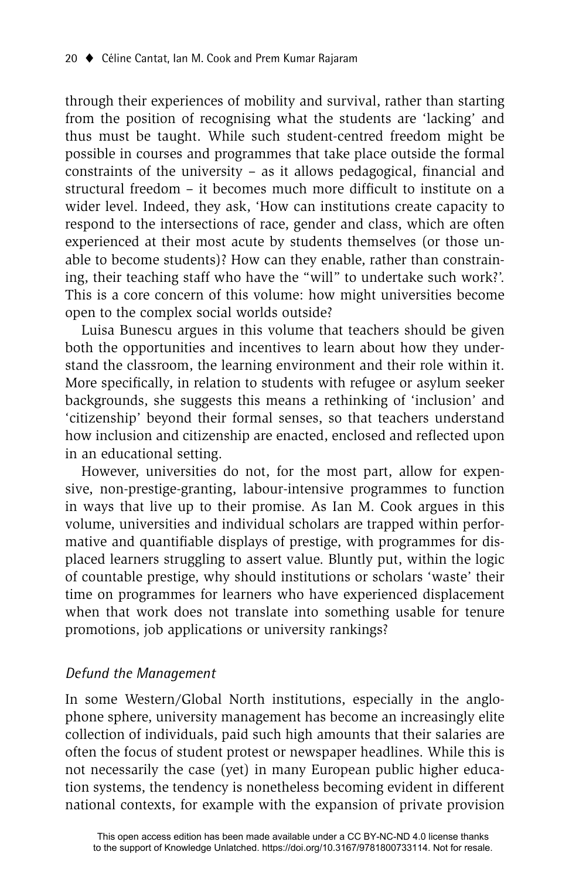through their experiences of mobility and survival, rather than starting from the position of recognising what the students are 'lacking' and thus must be taught. While such student-centred freedom might be possible in courses and programmes that take place outside the formal constraints of the university  $-$  as it allows pedagogical, financial and structural freedom - it becomes much more difficult to institute on a wider level. Indeed, they ask, 'How can institutions create capacity to respond to the intersections of race, gender and class, which are often experienced at their most acute by students themselves (or those unable to become students)? How can they enable, rather than constraining, their teaching staff who have the "will" to undertake such work?'. This is a core concern of this volume: how might universities become open to the complex social worlds outside?

Luisa Bunescu argues in this volume that teachers should be given both the opportunities and incentives to learn about how they understand the classroom, the learning environment and their role within it. More specifically, in relation to students with refugee or asylum seeker backgrounds, she suggests this means a rethinking of 'inclusion' and 'citizenship' beyond their formal senses, so that teachers understand how inclusion and citizenship are enacted, enclosed and reflected upon in an educational setting.

However, universities do not, for the most part, allow for expensive, non-prestige-granting, labour-intensive programmes to function in ways that live up to their promise. As Ian M. Cook argues in this volume, universities and individual scholars are trapped within performative and quantifiable displays of prestige, with programmes for displaced learners struggling to assert value. Bluntly put, within the logic of countable prestige, why should institutions or scholars 'waste' their time on programmes for learners who have experienced displacement when that work does not translate into something usable for tenure promotions, job applications or university rankings?

#### *Defund the Management*

In some Western/Global North institutions, especially in the anglophone sphere, university management has become an increasingly elite collection of individuals, paid such high amounts that their salaries are often the focus of student protest or newspaper headlines. While this is not necessarily the case (yet) in many European public higher education systems, the tendency is nonetheless becoming evident in different national contexts, for example with the expansion of private provision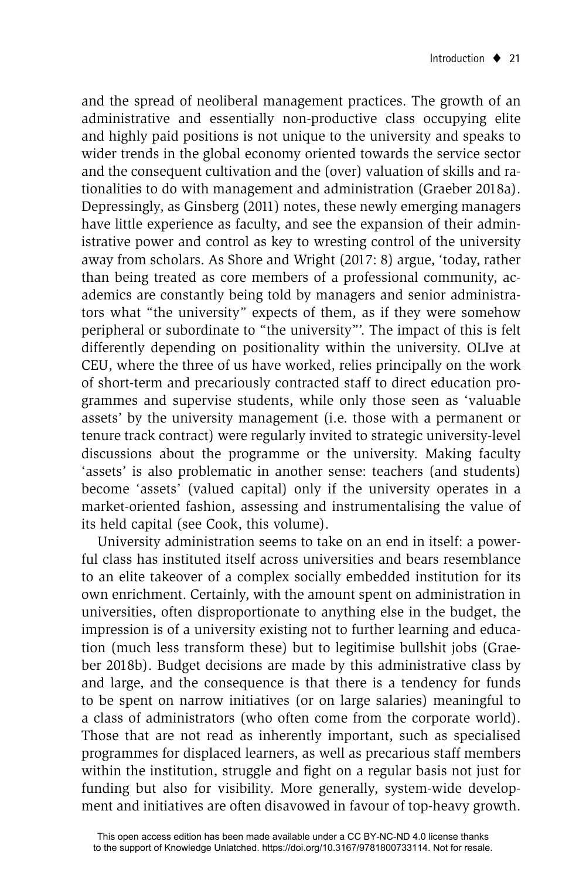and the spread of neoliberal management practices. The growth of an administrative and essentially non-productive class occupying elite and highly paid positions is not unique to the university and speaks to wider trends in the global economy oriented towards the service sector and the consequent cultivation and the (over) valuation of skills and rationalities to do with management and administration (Graeber 2018a). Depressingly, as Ginsberg (2011) notes, these newly emerging managers have little experience as faculty, and see the expansion of their administrative power and control as key to wresting control of the university away from scholars. As Shore and Wright (2017: 8) argue, 'today, rather than being treated as core members of a professional community, academics are constantly being told by managers and senior administrators what "the university" expects of them, as if they were somehow peripheral or subordinate to "the university"'. The impact of this is felt differently depending on positionality within the university. OLIve at CEU, where the three of us have worked, relies principally on the work of short-term and precariously contracted staff to direct education programmes and supervise students, while only those seen as 'valuable assets' by the university management (i.e. those with a permanent or tenure track contract) were regularly invited to strategic university-level discussions about the programme or the university. Making faculty 'assets' is also problematic in another sense: teachers (and students) become 'assets' (valued capital) only if the university operates in a market-oriented fashion, assessing and instrumentalising the value of its held capital (see Cook, this volume).

University administration seems to take on an end in itself: a powerful class has instituted itself across universities and bears resemblance to an elite takeover of a complex socially embedded institution for its own enrichment. Certainly, with the amount spent on administration in universities, often disproportionate to anything else in the budget, the impression is of a university existing not to further learning and education (much less transform these) but to legitimise bullshit jobs (Graeber 2018b). Budget decisions are made by this administrative class by and large, and the consequence is that there is a tendency for funds to be spent on narrow initiatives (or on large salaries) meaningful to a class of administrators (who often come from the corporate world). Those that are not read as inherently important, such as specialised programmes for displaced learners, as well as precarious staff members within the institution, struggle and fight on a regular basis not just for funding but also for visibility. More generally, system-wide development and initiatives are often disavowed in favour of top-heavy growth.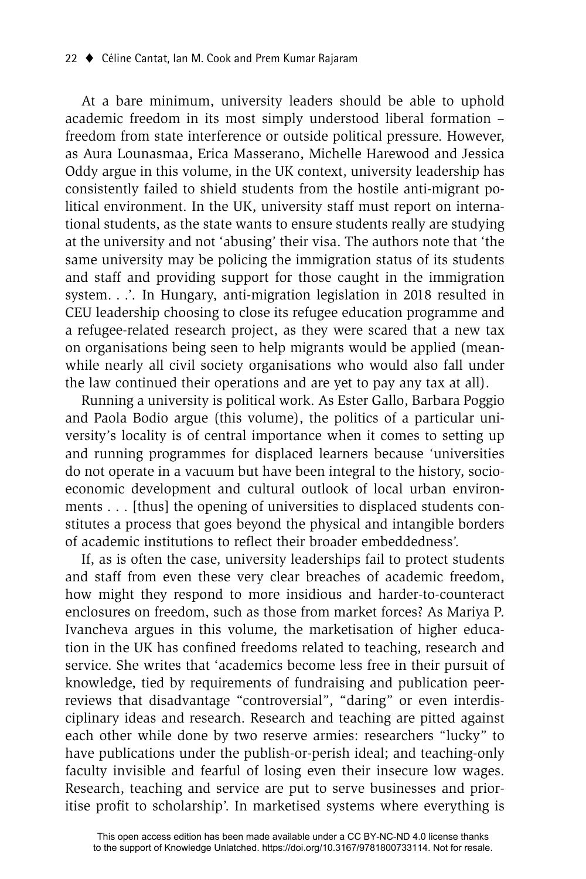At a bare minimum, university leaders should be able to uphold academic freedom in its most simply understood liberal formation – freedom from state interference or outside political pressure. However, as Aura Lounasmaa, Erica Masserano, Michelle Harewood and Jessica Oddy argue in this volume, in the UK context, university leadership has consistently failed to shield students from the hostile anti-migrant political environment. In the UK, university staff must report on international students, as the state wants to ensure students really are studying at the university and not 'abusing' their visa. The authors note that 'the same university may be policing the immigration status of its students and staff and providing support for those caught in the immigration system. . .'. In Hungary, anti-migration legislation in 2018 resulted in CEU leadership choosing to close its refugee education programme and a refugee-related research project, as they were scared that a new tax on organisations being seen to help migrants would be applied (meanwhile nearly all civil society organisations who would also fall under the law continued their operations and are yet to pay any tax at all).

Running a university is political work. As Ester Gallo, Barbara Poggio and Paola Bodio argue (this volume), the politics of a particular university's locality is of central importance when it comes to setting up and running programmes for displaced learners because 'universities do not operate in a vacuum but have been integral to the history, socioeconomic development and cultural outlook of local urban environments . . . [thus] the opening of universities to displaced students constitutes a process that goes beyond the physical and intangible borders of academic institutions to reflect their broader embeddedness'.

If, as is often the case, university leaderships fail to protect students and staff from even these very clear breaches of academic freedom, how might they respond to more insidious and harder-to-counteract enclosures on freedom, such as those from market forces? As Mariya P. Ivancheva argues in this volume, the marketisation of higher education in the UK has confined freedoms related to teaching, research and service. She writes that 'academics become less free in their pursuit of knowledge, tied by requirements of fundraising and publication peerreviews that disadvantage "controversial", "daring" or even interdisciplinary ideas and research. Research and teaching are pitted against each other while done by two reserve armies: researchers "lucky" to have publications under the publish-or-perish ideal; and teaching-only faculty invisible and fearful of losing even their insecure low wages. Research, teaching and service are put to serve businesses and prioritise profit to scholarship'. In marketised systems where everything is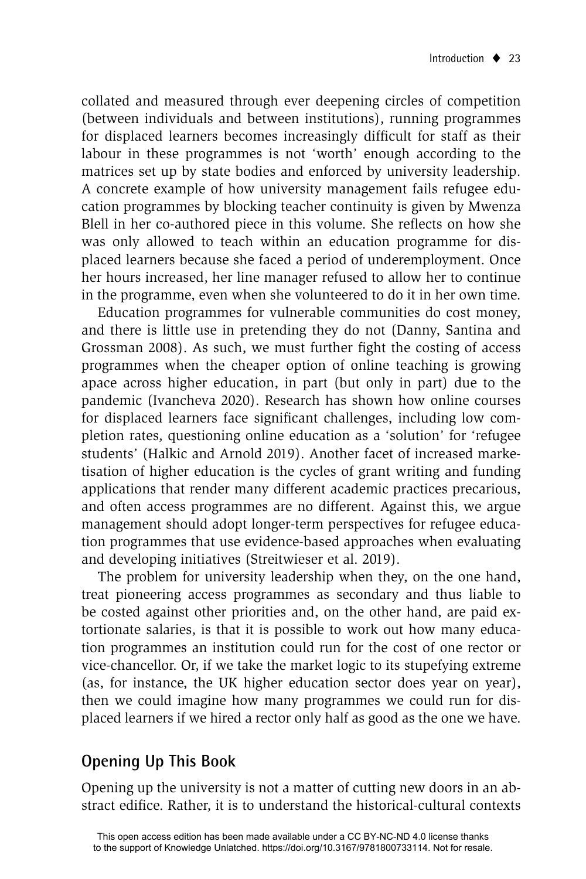collated and measured through ever deepening circles of competition (between individuals and between institutions), running programmes for displaced learners becomes increasingly difficult for staff as their labour in these programmes is not 'worth' enough according to the matrices set up by state bodies and enforced by university leadership. A concrete example of how university management fails refugee education programmes by blocking teacher continuity is given by Mwenza Blell in her co-authored piece in this volume. She reflects on how she was only allowed to teach within an education programme for displaced learners because she faced a period of underemployment. Once her hours increased, her line manager refused to allow her to continue in the programme, even when she volunteered to do it in her own time.

Education programmes for vulnerable communities do cost money, and there is little use in pretending they do not (Danny, Santina and Grossman 2008). As such, we must further fight the costing of access programmes when the cheaper option of online teaching is growing apace across higher education, in part (but only in part) due to the pandemic (Ivancheva 2020). Research has shown how online courses for displaced learners face significant challenges, including low completion rates, questioning online education as a 'solution' for 'refugee students' (Halkic and Arnold 2019). Another facet of increased marketisation of higher education is the cycles of grant writing and funding applications that render many different academic practices precarious, and often access programmes are no different. Against this, we argue management should adopt longer-term perspectives for refugee education programmes that use evidence-based approaches when evaluating and developing initiatives (Streitwieser et al. 2019).

The problem for university leadership when they, on the one hand, treat pioneering access programmes as secondary and thus liable to be costed against other priorities and, on the other hand, are paid extortionate salaries, is that it is possible to work out how many education programmes an institution could run for the cost of one rector or vice-chancellor. Or, if we take the market logic to its stupefying extreme (as, for instance, the UK higher education sector does year on year), then we could imagine how many programmes we could run for displaced learners if we hired a rector only half as good as the one we have.

# **Opening Up This Book**

Opening up the university is not a matter of cutting new doors in an abstract edifice. Rather, it is to understand the historical-cultural contexts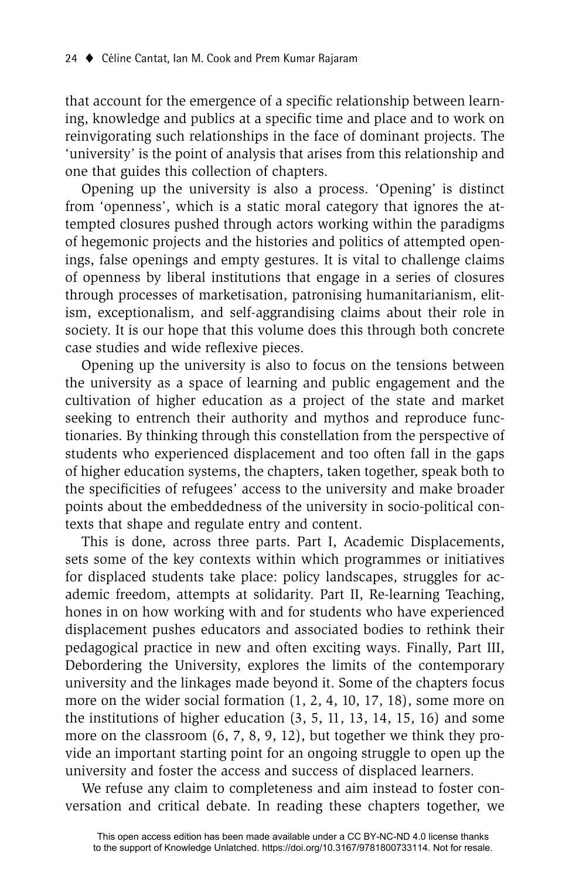that account for the emergence of a specific relationship between learning, knowledge and publics at a specific time and place and to work on reinvigorating such relationships in the face of dominant projects. The 'university' is the point of analysis that arises from this relationship and one that guides this collection of chapters.

Opening up the university is also a process. 'Opening' is distinct from 'openness', which is a static moral category that ignores the attempted closures pushed through actors working within the paradigms of hegemonic projects and the histories and politics of attempted openings, false openings and empty gestures. It is vital to challenge claims of openness by liberal institutions that engage in a series of closures through processes of marketisation, patronising humanitarianism, elitism, exceptionalism, and self-aggrandising claims about their role in society. It is our hope that this volume does this through both concrete case studies and wide reflexive pieces.

Opening up the university is also to focus on the tensions between the university as a space of learning and public engagement and the cultivation of higher education as a project of the state and market seeking to entrench their authority and mythos and reproduce functionaries. By thinking through this constellation from the perspective of students who experienced displacement and too often fall in the gaps of higher education systems, the chapters, taken together, speak both to the specificities of refugees' access to the university and make broader points about the embeddedness of the university in socio-political contexts that shape and regulate entry and content.

This is done, across three parts. Part I, Academic Displacements, sets some of the key contexts within which programmes or initiatives for displaced students take place: policy landscapes, struggles for academic freedom, attempts at solidarity. Part II, Re-learning Teaching, hones in on how working with and for students who have experienced displacement pushes educators and associated bodies to rethink their pedagogical practice in new and often exciting ways. Finally, Part III, Debordering the University, explores the limits of the contemporary university and the linkages made beyond it. Some of the chapters focus more on the wider social formation (1, 2, 4, 10, 17, 18), some more on the institutions of higher education (3, 5, 11, 13, 14, 15, 16) and some more on the classroom (6, 7, 8, 9, 12), but together we think they provide an important starting point for an ongoing struggle to open up the university and foster the access and success of displaced learners.

We refuse any claim to completeness and aim instead to foster conversation and critical debate. In reading these chapters together, we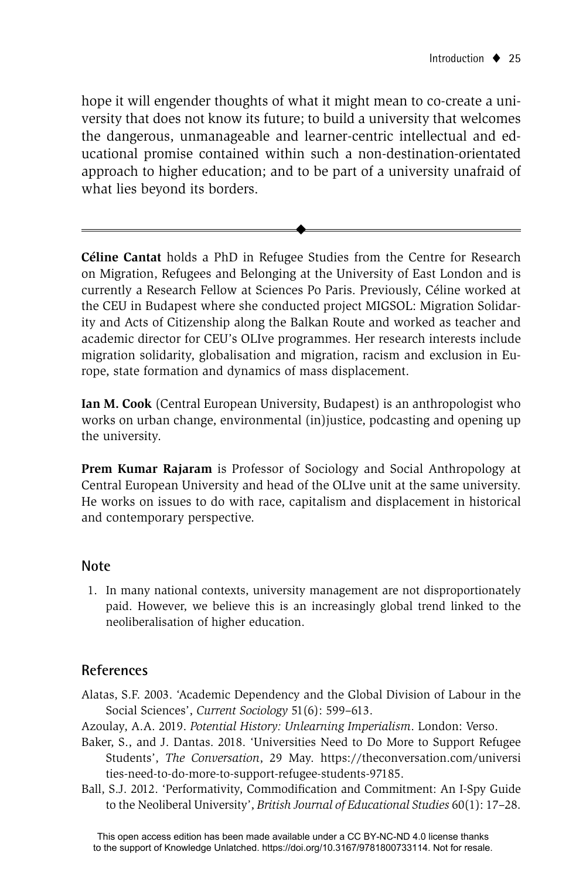hope it will engender thoughts of what it might mean to co-create a university that does not know its future; to build a university that welcomes the dangerous, unmanageable and learner-centric intellectual and educational promise contained within such a non-destination-orientated approach to higher education; and to be part of a university unafraid of what lies beyond its borders.

 $\ddot{\bullet}$ 

**Céline Cantat** holds a PhD in Refugee Studies from the Centre for Research on Migration, Refugees and Belonging at the University of East London and is currently a Research Fellow at Sciences Po Paris. Previously, Céline worked at the CEU in Budapest where she conducted project MIGSOL: Migration Solidarity and Acts of Citizenship along the Balkan Route and worked as teacher and academic director for CEU's OLIve programmes. Her research interests include migration solidarity, globalisation and migration, racism and exclusion in Europe, state formation and dynamics of mass displacement.

**Ian M. Cook** (Central European University, Budapest) is an anthropologist who works on urban change, environmental (in)justice, podcasting and opening up the university.

**Prem Kumar Rajaram** is Professor of Sociology and Social Anthropology at Central European University and head of the OLIve unit at the same university. He works on issues to do with race, capitalism and displacement in historical and contemporary perspective.

#### **Note**

1. In many national contexts, university management are not disproportionately paid. However, we believe this is an increasingly global trend linked to the neoliberalisation of higher education.

#### **References**

- Alatas, S.F. 2003. 'Academic Dependency and the Global Division of Labour in the Social Sciences', *Current Sociology* 51(6): 599–613.
- Azoulay, A.A. 2019. *Potential History: Unlearning Imperialism*. London: Verso.
- Baker, S., and J. Dantas. 2018. 'Universities Need to Do More to Support Refugee Students', *The Conversation*, 29 May. https://theconversation.com/universi ties-need-to-do-more-to-support-refugee-students-97185.
- Ball, S.J. 2012. 'Performativity, Commodification and Commitment: An I-Spy Guide to the Neoliberal University', *British Journal of Educational Studies* 60(1): 17–28.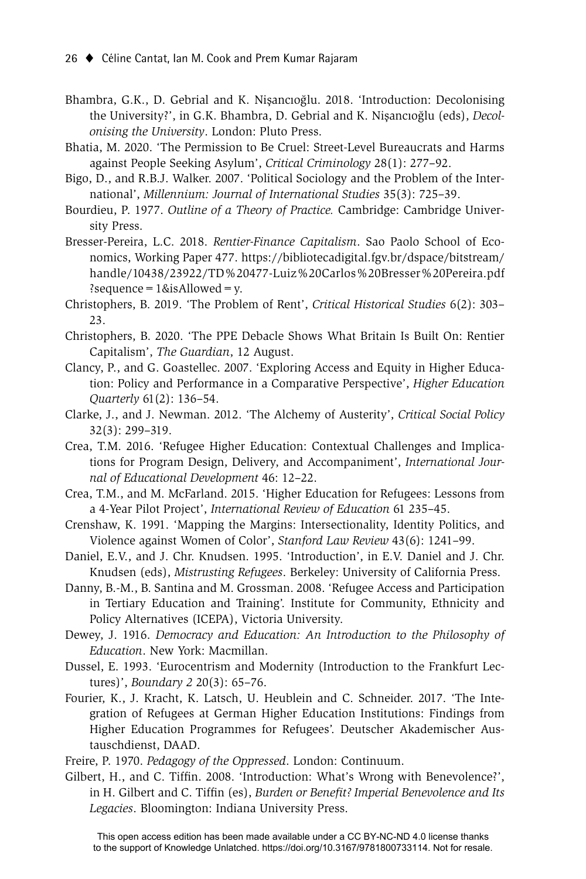- Bhambra, G.K., D. Gebrial and K. Nisancıoğlu. 2018. 'Introduction: Decolonising the University?', in G.K. Bhambra, D. Gebrial and K. Nişancıoğlu (eds), *Decolonising the University*. London: Pluto Press.
- Bhatia, M. 2020. 'The Permission to Be Cruel: Street-Level Bureaucrats and Harms against People Seeking Asylum', *Critical Criminology* 28(1): 277–92.
- Bigo, D., and R.B.J. Walker. 2007. 'Political Sociology and the Problem of the International', *Millennium: Journal of International Studies* 35(3): 725–39.
- Bourdieu, P. 1977. *Outline of a Theory of Practice.* Cambridge: Cambridge University Press.
- Bresser-Pereira, L.C. 2018. *Rentier-Finance Capitalism*. Sao Paolo School of Economics, Working Paper 477. https://bibliotecadigital.fgv.br/dspace/bitstream/ handle/10438/23922/TD%20477-Luiz%20Carlos%20Bresser%20Pereira.pdf ?sequence =  $1$  & is Allowed = y.
- Christophers, B. 2019. 'The Problem of Rent', *Critical Historical Studies* 6(2): 303– 23.
- Christophers, B. 2020. 'The PPE Debacle Shows What Britain Is Built On: Rentier Capitalism', *The Guardian*, 12 August.
- Clancy, P., and G. Goastellec. 2007. 'Exploring Access and Equity in Higher Education: Policy and Performance in a Comparative Perspective', *Higher Education Quarterly* 61(2): 136–54.
- Clarke, J., and J. Newman. 2012. 'The Alchemy of Austerity', *Critical Social Policy* 32(3): 299–319.
- Crea, T.M. 2016. 'Refugee Higher Education: Contextual Challenges and Implications for Program Design, Delivery, and Accompaniment', *International Journal of Educational Development* 46: 12–22.
- Crea, T.M., and M. McFarland. 2015. 'Higher Education for Refugees: Lessons from a 4-Year Pilot Project', *International Review of Education* 61 235–45.
- Crenshaw, K. 1991. 'Mapping the Margins: Intersectionality, Identity Politics, and Violence against Women of Color', *Stanford Law Review* 43(6): 1241–99.
- Daniel, E.V., and J. Chr. Knudsen. 1995. 'Introduction', in E.V. Daniel and J. Chr. Knudsen (eds), *Mistrusting Refugees*. Berkeley: University of California Press.
- Danny, B.-M., B. Santina and M. Grossman. 2008. 'Refugee Access and Participation in Tertiary Education and Training'. Institute for Community, Ethnicity and Policy Alternatives (ICEPA), Victoria University.
- Dewey, J. 1916. *Democracy and Education: An Introduction to the Philosophy of Education*. New York: Macmillan.
- Dussel, E. 1993. 'Eurocentrism and Modernity (Introduction to the Frankfurt Lectures)', *Boundary 2* 20(3): 65–76.
- Fourier, K., J. Kracht, K. Latsch, U. Heublein and C. Schneider. 2017. 'The Integration of Refugees at German Higher Education Institutions: Findings from Higher Education Programmes for Refugees'. Deutscher Akademischer Austauschdienst, DAAD.

Freire, P. 1970. *Pedagogy of the Oppressed*. London: Continuum.

Gilbert, H., and C. Tiffin. 2008. 'Introduction: What's Wrong with Benevolence?', in H. Gilbert and C. Tiffin (es), *Burden or Benefit? Imperial Benevolence and Its Legacies*. Bloomington: Indiana University Press.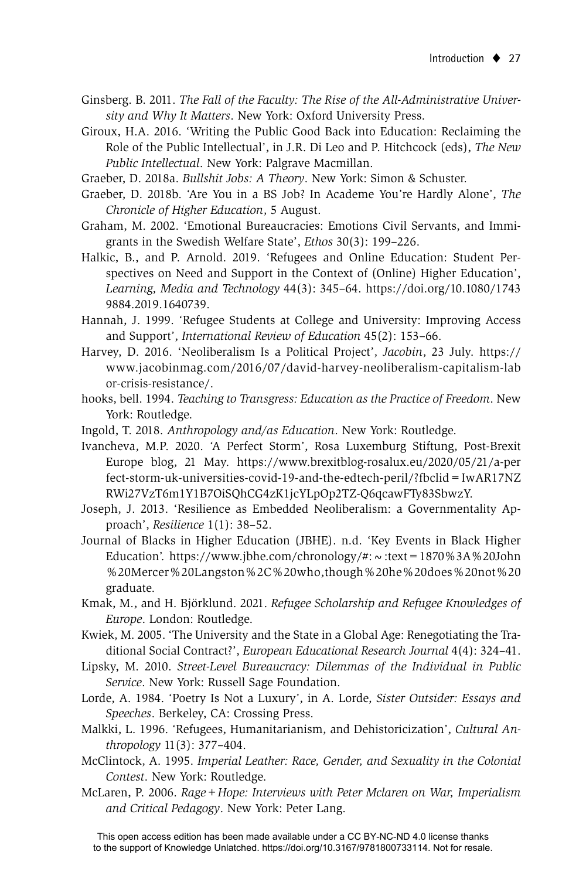- Ginsberg. B. 2011. *The Fall of the Faculty: The Rise of the All-Administrative University and Why It Matters*. New York: Oxford University Press.
- Giroux, H.A. 2016. 'Writing the Public Good Back into Education: Reclaiming the Role of the Public Intellectual', in J.R. Di Leo and P. Hitchcock (eds), *The New Public Intellectual*. New York: Palgrave Macmillan.
- Graeber, D. 2018a. *Bullshit Jobs: A Theory*. New York: Simon & Schuster.
- Graeber, D. 2018b. 'Are You in a BS Job? In Academe You're Hardly Alone', *The Chronicle of Higher Education*, 5 August.
- Graham, M. 2002. 'Emotional Bureaucracies: Emotions Civil Servants, and Immigrants in the Swedish Welfare State', *Ethos* 30(3): 199–226.
- Halkic, B., and P. Arnold. 2019. 'Refugees and Online Education: Student Perspectives on Need and Support in the Context of (Online) Higher Education', *Learning, Media and Technology* 44(3): 345–64. https://doi.org/10.1080/1743 9884.2019.1640739.
- Hannah, J. 1999. 'Refugee Students at College and University: Improving Access and Support', *International Review of Education* 45(2): 153–66.
- Harvey, D. 2016. 'Neoliberalism Is a Political Project', *Jacobin*, 23 July. https:// www.jacobinmag.com/2016/07/david-harvey-neoliberalism-capitalism-lab or-crisis-resistance/.
- hooks, bell. 1994. *Teaching to Transgress: Education as the Practice of Freedom*. New York: Routledge.
- Ingold, T. 2018. *Anthropology and/as Education*. New York: Routledge.
- Ivancheva, M.P. 2020. 'A Perfect Storm', Rosa Luxemburg Stiftung, Post-Brexit Europe blog, 21 May. https://www.brexitblog-rosalux.eu/2020/05/21/a-per fect-storm-uk-universities-covid-19-and-the-edtech-peril/?fbclid=IwAR17NZ RWi27VzT6m1Y1B7OiSQhCG4zK1jcYLpOp2TZ-Q6qcawFTy83SbwzY.
- Joseph, J. 2013. 'Resilience as Embedded Neoliberalism: a Governmentality Approach', *Resilience* 1(1): 38–52.
- Journal of Blacks in Higher Education (JBHE). n.d. 'Key Events in Black Higher Education'. https://www.jbhe.com/chronology/#:  $\sim$ :text = 1870 %3A %20John %20Mercer%20Langston%2C%20who,though%20he%20does%20not%20 graduate.
- Kmak, M., and H. Björklund. 2021. *Refugee Scholarship and Refugee Knowledges of Europe*. London: Routledge.
- Kwiek, M. 2005. 'The University and the State in a Global Age: Renegotiating the Traditional Social Contract?', *European Educational Research Journal* 4(4): 324–41.
- Lipsky, M. 2010. *Street-Level Bureaucracy: Dilemmas of the Individual in Public Service*. New York: Russell Sage Foundation.
- Lorde, A. 1984. 'Poetry Is Not a Luxury', in A. Lorde, *Sister Outsider: Essays and Speeches*. Berkeley, CA: Crossing Press.
- Malkki, L. 1996. 'Refugees, Humanitarianism, and Dehistoricization', *Cultural Anthropology* 11(3): 377–404.
- McClintock, A. 1995. *Imperial Leather: Race, Gender, and Sexuality in the Colonial Contest*. New York: Routledge.
- McLaren, P. 2006. *Rage+Hope: Interviews with Peter Mclaren on War, Imperialism and Critical Pedagogy*. New York: Peter Lang.

This open access edition has been made available under a CC BY-NC-ND 4.0 license thanks to the support of Knowledge Unlatched. https://doi.org/10.3167/9781800733114. Not for resale.